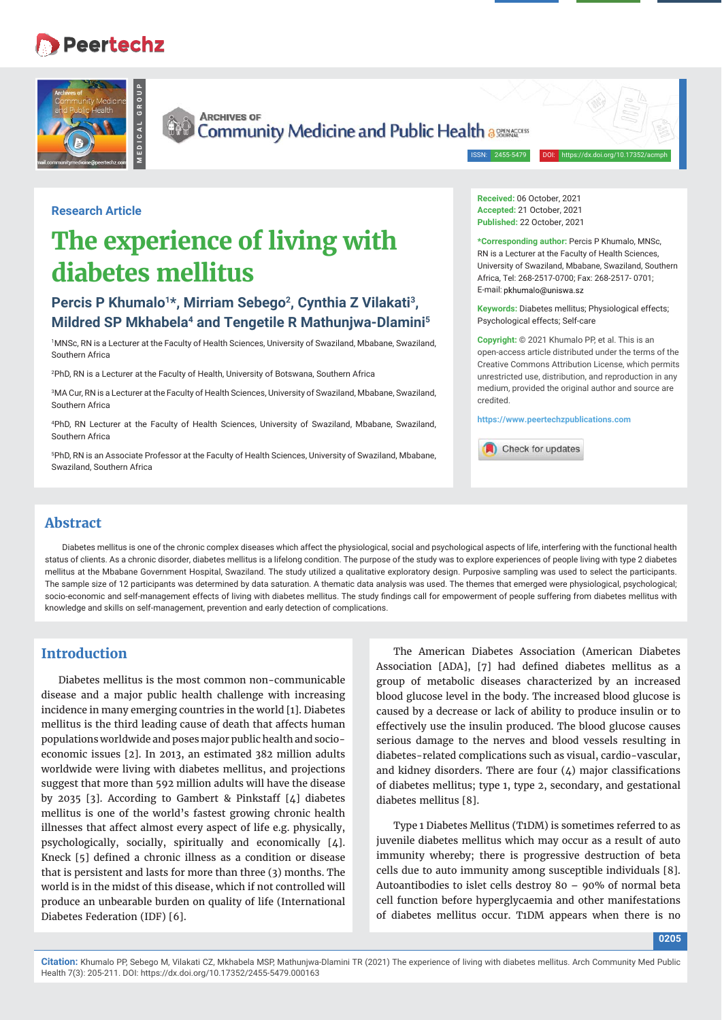## **Peertechz**





**ARCHIVES OF Community Medicine and Public Health assessed Community Medicine and Public Health assessed** 

ISSN: 2455-5479

**Research Article**

# **The experience of living with diabetes mellitus**

## Percis P Khumalo<sup>1\*</sup>, Mirriam Sebego<sup>2</sup>, Cynthia Z Vilakati<sup>3</sup>, **Mildred SP Mkhabela4 and Tengetile R Mathunjwa-Dlamini5**

1 MNSc, RN is a Lecturer at the Faculty of Health Sciences, University of Swaziland, Mbabane, Swaziland, Southern Africa

2 PhD, RN is a Lecturer at the Faculty of Health, University of Botswana, Southern Africa

3 MA Cur, RN is a Lecturer at the Faculty of Health Sciences, University of Swaziland, Mbabane, Swaziland, Southern Africa

4 PhD, RN Lecturer at the Faculty of Health Sciences, University of Swaziland, Mbabane, Swaziland, Southern Africa

5 PhD, RN is an Associate Professor at the Faculty of Health Sciences, University of Swaziland, Mbabane, Swaziland, Southern Africa

**Received:** 06 October, 2021 **Accepted:** 21 October, 2021 **Published:** 22 October, 2021

**\*Corresponding author:** Percis P Khumalo, MNSc, RN is a Lecturer at the Faculty of Health Sciences, University of Swaziland, Mbabane, Swaziland, Southern Africa, Tel: 268-2517-0700; Fax: 268-2517- 0701; E-mail: pkhumalo@uniswa sz

**Keywords:** Diabetes mellitus; Physiological effects; Psychological effects; Self-care

**Copyright:** © 2021 Khumalo PP, et al. This is an open-access article distributed under the terms of the Creative Commons Attribution License, which permits unrestricted use, distribution, and reproduction in any medium, provided the original author and source are credited.

**https://www.peertechzpublications.com**

Check for updates

## **Abstract**

Diabetes mellitus is one of the chronic complex diseases which affect the physiological, social and psychological aspects of life, interfering with the functional health status of clients. As a chronic disorder, diabetes mellitus is a lifelong condition. The purpose of the study was to explore experiences of people living with type 2 diabetes mellitus at the Mbabane Government Hospital, Swaziland. The study utilized a qualitative exploratory design. Purposive sampling was used to select the participants. The sample size of 12 participants was determined by data saturation. A thematic data analysis was used. The themes that emerged were physiological, psychological; socio-economic and self-management effects of living with diabetes mellitus. The study findings call for empowerment of people suffering from diabetes mellitus with knowledge and skills on self-management, prevention and early detection of complications.

## **Introduction**

Diabetes mellitus is the most common non-communicable disease and a major public health challenge with increasing incidence in many emerging countries in the world [1]. Diabetes mellitus is the third leading cause of death that affects human populations worldwide and poses major public health and socioeconomic issues [2]. In 2013, an estimated 382 million adults worldwide were living with diabetes mellitus, and projections suggest that more than 592 million adults will have the disease by 2035 [3]. According to Gambert & Pinkstaff [4] diabetes mellitus is one of the world's fastest growing chronic health illnesses that affect almost every aspect of life e.g. physically, psychologically, socially, spiritually and economically [4]. Kneck [5] defined a chronic illness as a condition or disease that is persistent and lasts for more than three (3) months. The world is in the midst of this disease, which if not controlled will produce an unbearable burden on quality of life (International Diabetes Federation (IDF) [6].

The American Diabetes Association (American Diabetes Association [ADA], [7] had defined diabetes mellitus as a group of metabolic diseases characterized by an increased blood glucose level in the body. The increased blood glucose is caused by a decrease or lack of ability to produce insulin or to effectively use the insulin produced. The blood glucose causes serious damage to the nerves and blood vessels resulting in diabetes-related complications such as visual, cardio-vascular, and kidney disorders. There are four  $(4)$  major classifications of diabetes mellitus; type 1, type 2, secondary, and gestational diabetes mellitus [8].

Type 1 Diabetes Mellitus (T1DM) is sometimes referred to as juvenile diabetes mellitus which may occur as a result of auto immunity whereby; there is progressive destruction of beta cells due to auto immunity among susceptible individuals [8]. Autoantibodies to islet cells destroy 80 – 90% of normal beta cell function before hyperglycaemia and other manifestations of diabetes mellitus occur. T1DM appears when there is no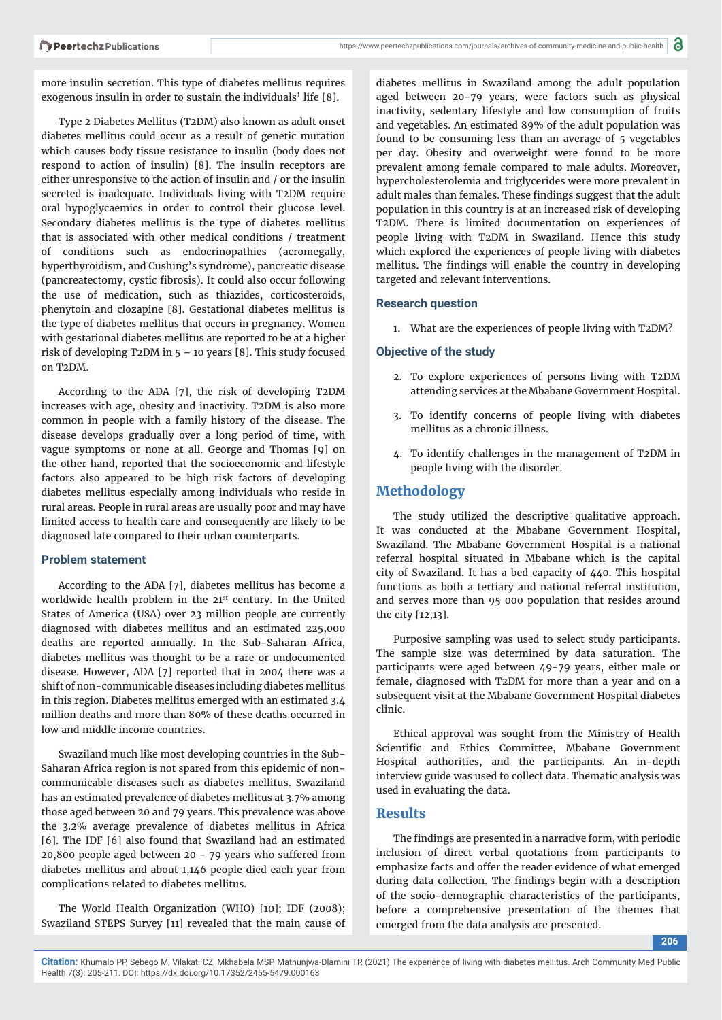more insulin secretion. This type of diabetes mellitus requires exogenous insulin in order to sustain the individuals' life [8].

Type 2 Diabetes Mellitus (T2DM) also known as adult onset diabetes mellitus could occur as a result of genetic mutation which causes body tissue resistance to insulin (body does not respond to action of insulin) [8]. The insulin receptors are either unresponsive to the action of insulin and / or the insulin secreted is inadequate. Individuals living with T2DM require oral hypoglycaemics in order to control their glucose level. Secondary diabetes mellitus is the type of diabetes mellitus that is associated with other medical conditions / treatment of conditions such as endocrinopathies (acromegally, hyperthyroidism, and Cushing's syndrome), pancreatic disease (pancreatectomy, cystic fibrosis). It could also occur following the use of medication, such as thiazides, corticosteroids, phenytoin and clozapine [8]. Gestational diabetes mellitus is the type of diabetes mellitus that occurs in pregnancy. Women with gestational diabetes mellitus are reported to be at a higher risk of developing T2DM in  $5 - 10$  years [8]. This study focused on T2DM.

According to the ADA [7], the risk of developing T2DM increases with age, obesity and inactivity. T2DM is also more common in people with a family history of the disease. The disease develops gradually over a long period of time, with vague symptoms or none at all. George and Thomas [9] on the other hand, reported that the socioeconomic and lifestyle factors also appeared to be high risk factors of developing diabetes mellitus especially among individuals who reside in rural areas. People in rural areas are usually poor and may have limited access to health care and consequently are likely to be diagnosed late compared to their urban counterparts.

#### **Problem statement**

According to the ADA [7], diabetes mellitus has become a worldwide health problem in the 21st century. In the United States of America (USA) over 23 million people are currently diagnosed with diabetes mellitus and an estimated 225,000 deaths are reported annually. In the Sub-Saharan Africa, diabetes mellitus was thought to be a rare or undocumented disease. However, ADA [7] reported that in 2004 there was a shift of non-communicable diseases including diabetes mellitus in this region. Diabetes mellitus emerged with an estimated 3.4 million deaths and more than 80% of these deaths occurred in low and middle income countries.

Swaziland much like most developing countries in the Sub-Saharan Africa region is not spared from this epidemic of noncommunicable diseases such as diabetes mellitus. Swaziland has an estimated prevalence of diabetes mellitus at 3.7% among those aged between 20 and 79 years. This prevalence was above the 3.2% average prevalence of diabetes mellitus in Africa [6]. The IDF [6] also found that Swaziland had an estimated 20,800 people aged between 20 - 79 years who suffered from diabetes mellitus and about 1,146 people died each year from complications related to diabetes mellitus.

The World Health Organization (WHO) [10]; IDF (2008); Swaziland STEPS Survey [11] revealed that the main cause of diabetes mellitus in Swaziland among the adult population aged between 20-79 years, were factors such as physical inactivity, sedentary lifestyle and low consumption of fruits and vegetables. An estimated 89% of the adult population was found to be consuming less than an average of 5 vegetables per day. Obesity and overweight were found to be more prevalent among female compared to male adults. Moreover, hypercholesterolemia and triglycerides were more prevalent in adult males than females. These findings suggest that the adult population in this country is at an increased risk of developing T2DM. There is limited documentation on experiences of people living with T2DM in Swaziland. Hence this study which explored the experiences of people living with diabetes mellitus. The findings will enable the country in developing targeted and relevant interventions.

#### **Research question**

1. What are the experiences of people living with T2DM?

#### **Objective of the study**

- 2. To explore experiences of persons living with T2DM attending services at the Mbabane Government Hospital.
- 3. To identify concerns of people living with diabetes mellitus as a chronic illness.
- 4. To identify challenges in the management of T2DM in people living with the disorder.

## **Methodology**

The study utilized the descriptive qualitative approach. It was conducted at the Mbabane Government Hospital, Swaziland. The Mbabane Government Hospital is a national referral hospital situated in Mbabane which is the capital city of Swaziland. It has a bed capacity of 440. This hospital functions as both a tertiary and national referral institution, and serves more than 95 000 population that resides around the city [12,13].

Purposive sampling was used to select study participants. The sample size was determined by data saturation. The participants were aged between 49-79 years, either male or female, diagnosed with T2DM for more than a year and on a subsequent visit at the Mbabane Government Hospital diabetes clinic.

Ethical approval was sought from the Ministry of Health Scientific and Ethics Committee, Mbabane Government Hospital authorities, and the participants. An in-depth interview guide was used to collect data. Thematic analysis was used in evaluating the data.

#### **Results**

The findings are presented in a narrative form, with periodic inclusion of direct verbal quotations from participants to emphasize facts and offer the reader evidence of what emerged during data collection. The findings begin with a description of the socio-demographic characteristics of the participants, before a comprehensive presentation of the themes that emerged from the data analysis are presented.

**206**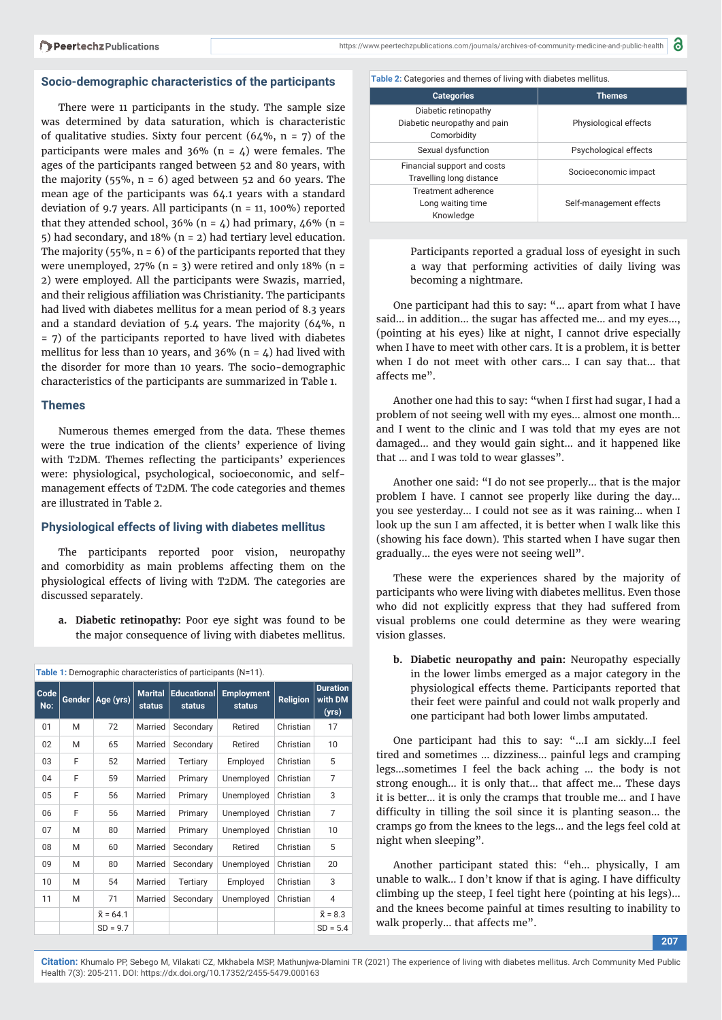#### **Socio-demographic characteristics of the participants**

There were 11 participants in the study. The sample size was determined by data saturation, which is characteristic of qualitative studies. Sixty four percent  $(64\%, n = 7)$  of the participants were males and  $36\%$  (n = 4) were females. The ages of the participants ranged between 52 and 80 years, with the majority (55%,  $n = 6$ ) aged between 52 and 60 years. The mean age of the participants was 64.1 years with a standard deviation of 9.7 years. All participants (n = 11, 100%) reported that they attended school,  $36\%$  (n = 4) had primary,  $46\%$  (n = 5) had secondary, and 18% (n = 2) had tertiary level education. The majority (55%,  $n = 6$ ) of the participants reported that they were unemployed,  $27\%$  (n = 3) were retired and only 18% (n = 2) were employed. All the participants were Swazis, married, and their religious affiliation was Christianity. The participants had lived with diabetes mellitus for a mean period of 8.3 years and a standard deviation of 5.4 years. The majority (64%, n = 7) of the participants reported to have lived with diabetes mellitus for less than 10 years, and 36% ( $n = 4$ ) had lived with the disorder for more than 10 years. The socio-demographic characteristics of the participants are summarized in Table 1.

#### **Themes**

Numerous themes emerged from the data. These themes were the true indication of the clients' experience of living with T2DM. Themes reflecting the participants' experiences were: physiological, psychological, socioeconomic, and selfmanagement effects of T2DM. The code categories and themes are illustrated in Table 2.

#### **Physiological effects of living with diabetes mellitus**

The participants reported poor vision, neuropathy and comorbidity as main problems affecting them on the physiological effects of living with T2DM. The categories are discussed separately.

**a. Diabetic retinopathy:** Poor eye sight was found to be the major consequence of living with diabetes mellitus.

| Table 1: Demographic characteristics of participants (N=11). |        |                  |                          |                              |                             |           |                                     |  |  |
|--------------------------------------------------------------|--------|------------------|--------------------------|------------------------------|-----------------------------|-----------|-------------------------------------|--|--|
| Code<br>No:                                                  | Gender | Age (yrs)        | <b>Marital</b><br>status | <b>Educational</b><br>status | <b>Employment</b><br>status | Religion  | <b>Duration</b><br>with DM<br>(yrs) |  |  |
| 01                                                           | M      | 72               | Married                  | Secondary                    | Retired                     | Christian | 17                                  |  |  |
| 02                                                           | M      | 65               | Married                  | Secondary                    | Retired                     | Christian | 10                                  |  |  |
| 03                                                           | F      | 52               | Married                  | Tertiary                     | Employed                    | Christian | 5                                   |  |  |
| 04                                                           | F      | 59               | Married                  | Primary                      | Unemployed                  | Christian | 7                                   |  |  |
| 05                                                           | F      | 56               | Married                  | Primary                      | Unemployed                  | Christian | 3                                   |  |  |
| 06                                                           | F      | 56               | Married                  | Primary                      | Unemployed                  | Christian | $\overline{7}$                      |  |  |
| 07                                                           | M      | 80               | Married                  | Primary                      | Unemployed                  | Christian | 10                                  |  |  |
| 08                                                           | M      | 60               | Married                  | Secondary                    | Retired                     | Christian | 5                                   |  |  |
| 09                                                           | M      | 80               | Married                  | Secondary                    | Unemployed                  | Christian | 20                                  |  |  |
| 10                                                           | M      | 54               | Married                  | Tertiary                     | Employed                    | Christian | 3                                   |  |  |
| 11                                                           | M      | 71               | Married                  | Secondary                    | Unemployed                  | Christian | 4                                   |  |  |
|                                                              |        | $\bar{x} = 64.1$ |                          |                              |                             |           | $\bar{x} = 8.3$                     |  |  |
|                                                              |        | $SD = 9.7$       |                          |                              |                             |           | $SD = 5.4$                          |  |  |

**Table 2:** Categories and themes of living with diabetes mellitus.

| <b>Categories</b>                                                   | <b>Themes</b>           |
|---------------------------------------------------------------------|-------------------------|
| Diabetic retinopathy<br>Diabetic neuropathy and pain<br>Comorbidity | Physiological effects   |
| Sexual dysfunction                                                  | Psychological effects   |
| Financial support and costs<br>Travelling long distance             | Socioeconomic impact    |
| Treatment adherence<br>Long waiting time<br>Knowledge               | Self-management effects |

Participants reported a gradual loss of eyesight in such a way that performing activities of daily living was becoming a nightmare.

One participant had this to say: "… apart from what I have said… in addition… the sugar has affected me… and my eyes…, (pointing at his eyes) like at night, I cannot drive especially when I have to meet with other cars. It is a problem, it is better when I do not meet with other cars… I can say that… that affects me".

Another one had this to say: "when I first had sugar, I had a problem of not seeing well with my eyes… almost one month… and I went to the clinic and I was told that my eyes are not damaged… and they would gain sight… and it happened like that … and I was told to wear glasses".

Another one said: "I do not see properly… that is the major problem I have. I cannot see properly like during the day… you see yesterday… I could not see as it was raining… when I look up the sun I am affected, it is better when I walk like this (showing his face down). This started when I have sugar then gradually… the eyes were not seeing well".

These were the experiences shared by the majority of participants who were living with diabetes mellitus. Even those who did not explicitly express that they had suffered from visual problems one could determine as they were wearing vision glasses.

**b. Diabetic neuropathy and pain:** Neuropathy especially in the lower limbs emerged as a major category in the physiological effects theme. Participants reported that their feet were painful and could not walk properly and one participant had both lower limbs amputated.

One participant had this to say: "…I am sickly…I feel tired and sometimes … dizziness… painful legs and cramping legs…sometimes I feel the back aching … the body is not strong enough… it is only that… that affect me… These days it is better… it is only the cramps that trouble me… and I have difficulty in tilling the soil since it is planting season... the cramps go from the knees to the legs… and the legs feel cold at night when sleeping".

Another participant stated this: "eh… physically, I am unable to walk... I don't know if that is aging. I have difficulty climbing up the steep, I feel tight here (pointing at his legs)… and the knees become painful at times resulting to inability to walk properly… that affects me".

**207**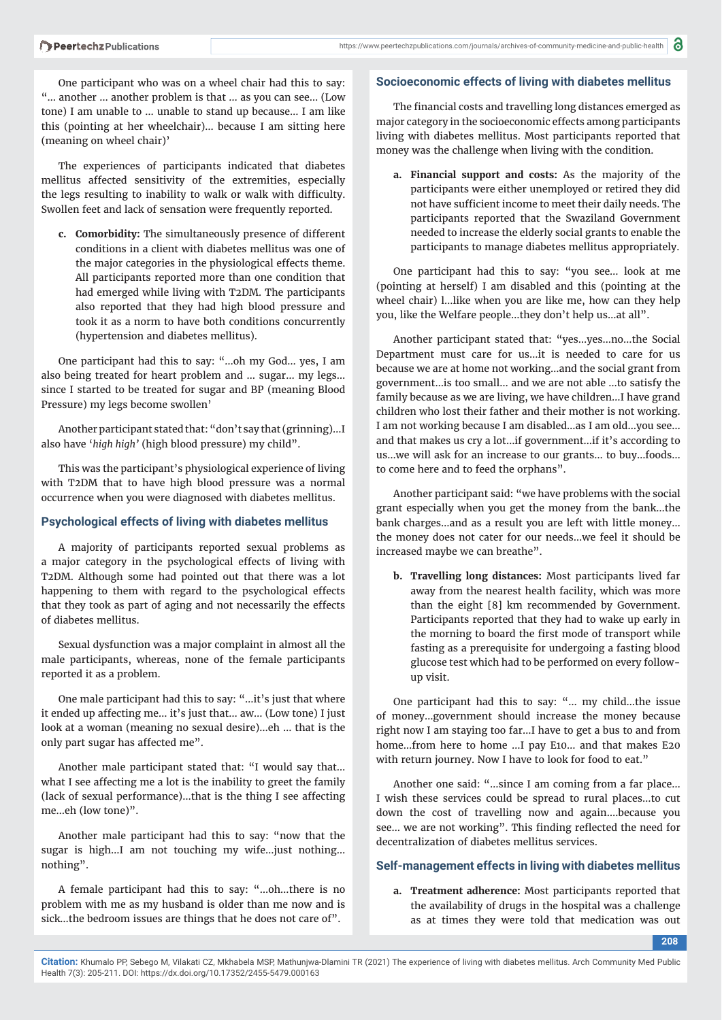One participant who was on a wheel chair had this to say: "… another … another problem is that … as you can see… (Low tone) I am unable to … unable to stand up because… I am like this (pointing at her wheelchair)… because I am sitting here (meaning on wheel chair)'

The experiences of participants indicated that diabetes mellitus affected sensitivity of the extremities, especially the legs resulting to inability to walk or walk with difficulty. Swollen feet and lack of sensation were frequently reported.

**c. Comorbidity:** The simultaneously presence of different conditions in a client with diabetes mellitus was one of the major categories in the physiological effects theme. All participants reported more than one condition that had emerged while living with T2DM. The participants also reported that they had high blood pressure and took it as a norm to have both conditions concurrently (hypertension and diabetes mellitus).

One participant had this to say: "…oh my God… yes, I am also being treated for heart problem and … sugar… my legs… since I started to be treated for sugar and BP (meaning Blood Pressure) my legs become swollen'

Another participant stated that: "don't say that (grinning)…I also have '*high high'* (high blood pressure) my child".

This was the participant's physiological experience of living with T2DM that to have high blood pressure was a normal occurrence when you were diagnosed with diabetes mellitus.

#### **Psychological effects of living with diabetes mellitus**

A majority of participants reported sexual problems as a major category in the psychological effects of living with T2DM. Although some had pointed out that there was a lot happening to them with regard to the psychological effects that they took as part of aging and not necessarily the effects of diabetes mellitus.

Sexual dysfunction was a major complaint in almost all the male participants, whereas, none of the female participants reported it as a problem.

One male participant had this to say: "…it's just that where it ended up affecting me… it's just that… aw… (Low tone) I just look at a woman (meaning no sexual desire)…eh … that is the only part sugar has affected me".

Another male participant stated that: "I would say that… what I see affecting me a lot is the inability to greet the family (lack of sexual performance)…that is the thing I see affecting me…eh (low tone)".

Another male participant had this to say: "now that the sugar is high…I am not touching my wife…just nothing… nothing".

A female participant had this to say: "…oh…there is no problem with me as my husband is older than me now and is sick…the bedroom issues are things that he does not care of".

#### **Socioeconomic effects of living with diabetes mellitus**

The financial costs and travelling long distances emerged as major category in the socioeconomic effects among participants living with diabetes mellitus. Most participants reported that money was the challenge when living with the condition.

**a. Financial support and costs:** As the majority of the participants were either unemployed or retired they did not have sufficient income to meet their daily needs. The participants reported that the Swaziland Government needed to increase the elderly social grants to enable the participants to manage diabetes mellitus appropriately.

One participant had this to say: "you see… look at me (pointing at herself) I am disabled and this (pointing at the wheel chair) l…like when you are like me, how can they help you, like the Welfare people…they don't help us…at all".

Another participant stated that: "yes…yes…no…the Social Department must care for us…it is needed to care for us because we are at home not working…and the social grant from government…is too small… and we are not able …to satisfy the family because as we are living, we have children…I have grand children who lost their father and their mother is not working. I am not working because I am disabled…as I am old…you see… and that makes us cry a lot…if government…if it's according to us…we will ask for an increase to our grants… to buy…foods… to come here and to feed the orphans".

Another participant said: "we have problems with the social grant especially when you get the money from the bank…the bank charges…and as a result you are left with little money… the money does not cater for our needs…we feel it should be increased maybe we can breathe".

**b. Travelling long distances:** Most participants lived far away from the nearest health facility, which was more than the eight [8] km recommended by Government. Participants reported that they had to wake up early in the morning to board the first mode of transport while fasting as a prerequisite for undergoing a fasting blood glucose test which had to be performed on every followup visit.

One participant had this to say: "… my child…the issue of money…government should increase the money because right now I am staying too far…I have to get a bus to and from home…from here to home …I pay E10… and that makes E20 with return journey. Now I have to look for food to eat."

Another one said: "…since I am coming from a far place… I wish these services could be spread to rural places…to cut down the cost of travelling now and again….because you see... we are not working". This finding reflected the need for decentralization of diabetes mellitus services.

#### **Self-management effects in living with diabetes mellitus**

**a. Treatment adherence:** Most participants reported that the availability of drugs in the hospital was a challenge as at times they were told that medication was out

**208**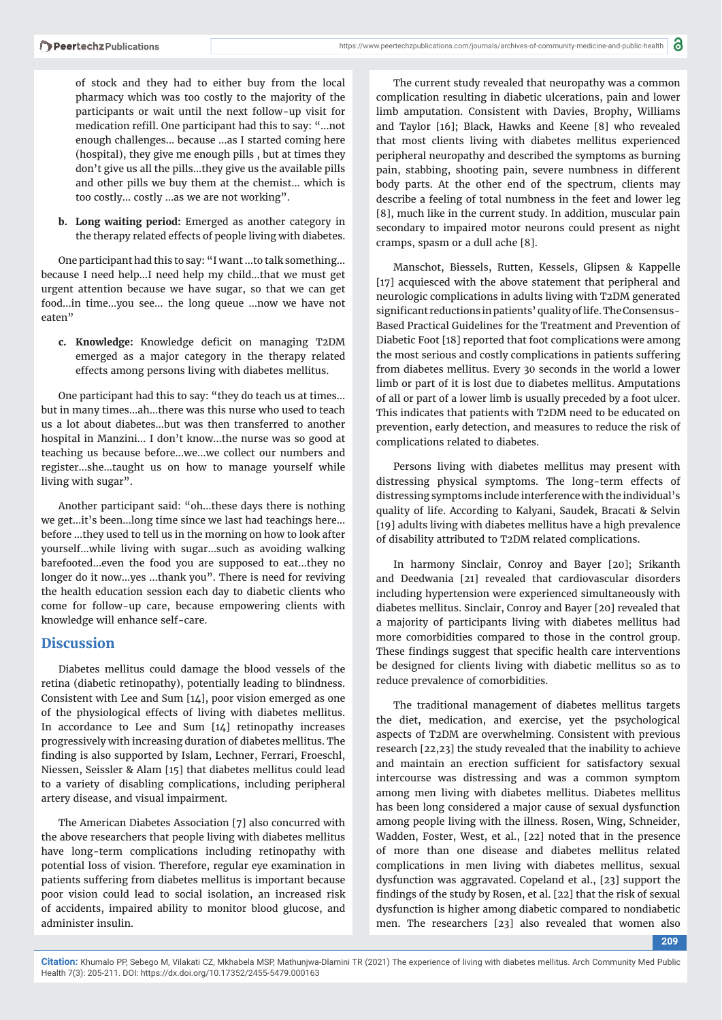of stock and they had to either buy from the local pharmacy which was too costly to the majority of the participants or wait until the next follow-up visit for medication refill. One participant had this to say: "...not enough challenges… because …as I started coming here (hospital), they give me enough pills , but at times they don't give us all the pills…they give us the available pills and other pills we buy them at the chemist… which is too costly… costly …as we are not working".

**b. Long waiting period:** Emerged as another category in the therapy related effects of people living with diabetes.

One participant had this to say: "I want …to talk something… because I need help…I need help my child…that we must get urgent attention because we have sugar, so that we can get food…in time…you see… the long queue …now we have not eaten"

c. Knowledge: Knowledge deficit on managing T2DM emerged as a major category in the therapy related effects among persons living with diabetes mellitus.

One participant had this to say: "they do teach us at times… but in many times…ah…there was this nurse who used to teach us a lot about diabetes…but was then transferred to another hospital in Manzini… I don't know…the nurse was so good at teaching us because before…we…we collect our numbers and register…she…taught us on how to manage yourself while living with sugar".

Another participant said: "oh…these days there is nothing we get…it's been…long time since we last had teachings here… before …they used to tell us in the morning on how to look after yourself…while living with sugar…such as avoiding walking barefooted…even the food you are supposed to eat…they no longer do it now…yes …thank you". There is need for reviving the health education session each day to diabetic clients who come for follow-up care, because empowering clients with knowledge will enhance self-care.

### **Discussion**

Diabetes mellitus could damage the blood vessels of the retina (diabetic retinopathy), potentially leading to blindness. Consistent with Lee and Sum [14], poor vision emerged as one of the physiological effects of living with diabetes mellitus. In accordance to Lee and Sum [14] retinopathy increases progressively with increasing duration of diabetes mellitus. The finding is also supported by Islam, Lechner, Ferrari, Froeschl, Niessen, Seissler & Alam [15] that diabetes mellitus could lead to a variety of disabling complications, including peripheral artery disease, and visual impairment.

The American Diabetes Association [7] also concurred with the above researchers that people living with diabetes mellitus have long-term complications including retinopathy with potential loss of vision. Therefore, regular eye examination in patients suffering from diabetes mellitus is important because poor vision could lead to social isolation, an increased risk of accidents, impaired ability to monitor blood glucose, and administer insulin.

The current study revealed that neuropathy was a common complication resulting in diabetic ulcerations, pain and lower limb amputation. Consistent with Davies, Brophy, Williams and Taylor [16]; Black, Hawks and Keene [8] who revealed that most clients living with diabetes mellitus experienced peripheral neuropathy and described the symptoms as burning pain, stabbing, shooting pain, severe numbness in different body parts. At the other end of the spectrum, clients may describe a feeling of total numbness in the feet and lower leg [8], much like in the current study. In addition, muscular pain secondary to impaired motor neurons could present as night cramps, spasm or a dull ache [8].

Manschot, Biessels, Rutten, Kessels, Glipsen & Kappelle [17] acquiesced with the above statement that peripheral and neurologic complications in adults living with T2DM generated significant reductions in patients' quality of life. The Consensus-Based Practical Guidelines for the Treatment and Prevention of Diabetic Foot [18] reported that foot complications were among the most serious and costly complications in patients suffering from diabetes mellitus. Every 30 seconds in the world a lower limb or part of it is lost due to diabetes mellitus. Amputations of all or part of a lower limb is usually preceded by a foot ulcer. This indicates that patients with T2DM need to be educated on prevention, early detection, and measures to reduce the risk of complications related to diabetes.

Persons living with diabetes mellitus may present with distressing physical symptoms. The long-term effects of distressing symptoms include interference with the individual's quality of life. According to Kalyani, Saudek, Bracati & Selvin [19] adults living with diabetes mellitus have a high prevalence of disability attributed to T2DM related complications.

In harmony Sinclair, Conroy and Bayer [20]; Srikanth and Deedwania [21] revealed that cardiovascular disorders including hypertension were experienced simultaneously with diabetes mellitus. Sinclair, Conroy and Bayer [20] revealed that a majority of participants living with diabetes mellitus had more comorbidities compared to those in the control group. These findings suggest that specific health care interventions be designed for clients living with diabetic mellitus so as to reduce prevalence of comorbidities.

The traditional management of diabetes mellitus targets the diet, medication, and exercise, yet the psychological aspects of T2DM are overwhelming. Consistent with previous research [22,23] the study revealed that the inability to achieve and maintain an erection sufficient for satisfactory sexual intercourse was distressing and was a common symptom among men living with diabetes mellitus. Diabetes mellitus has been long considered a major cause of sexual dysfunction among people living with the illness. Rosen, Wing, Schneider, Wadden, Foster, West, et al., [22] noted that in the presence of more than one disease and diabetes mellitus related complications in men living with diabetes mellitus, sexual dysfunction was aggravated. Copeland et al., [23] support the findings of the study by Rosen, et al. [22] that the risk of sexual dysfunction is higher among diabetic compared to nondiabetic men. The researchers [23] also revealed that women also

**209**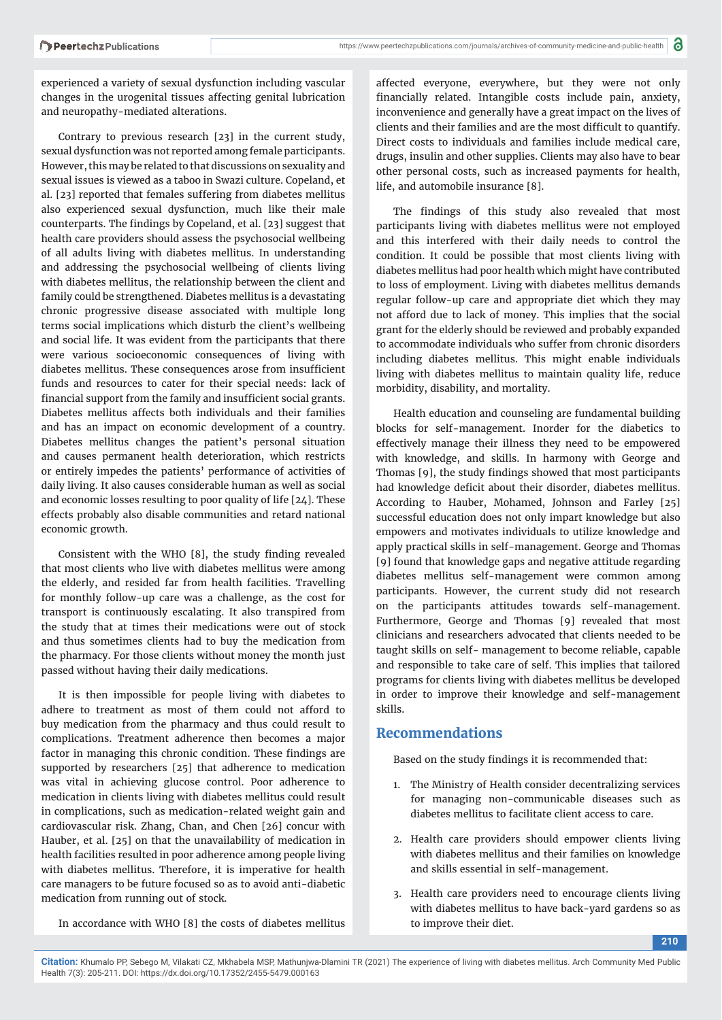experienced a variety of sexual dysfunction including vascular changes in the urogenital tissues affecting genital lubrication and neuropathy-mediated alterations.

Contrary to previous research [23] in the current study, sexual dysfunction was not reported among female participants. However, this may be related to that discussions on sexuality and sexual issues is viewed as a taboo in Swazi culture. Copeland, et al. [23] reported that females suffering from diabetes mellitus also experienced sexual dysfunction, much like their male counterparts. The findings by Copeland, et al. [23] suggest that health care providers should assess the psychosocial wellbeing of all adults living with diabetes mellitus. In understanding and addressing the psychosocial wellbeing of clients living with diabetes mellitus, the relationship between the client and family could be strengthened. Diabetes mellitus is a devastating chronic progressive disease associated with multiple long terms social implications which disturb the client's wellbeing and social life. It was evident from the participants that there were various socioeconomic consequences of living with diabetes mellitus. These consequences arose from insufficient funds and resources to cater for their special needs: lack of financial support from the family and insufficient social grants. Diabetes mellitus affects both individuals and their families and has an impact on economic development of a country. Diabetes mellitus changes the patient's personal situation and causes permanent health deterioration, which restricts or entirely impedes the patients' performance of activities of daily living. It also causes considerable human as well as social and economic losses resulting to poor quality of life [24]. These effects probably also disable communities and retard national economic growth.

Consistent with the WHO  $[8]$ , the study finding revealed that most clients who live with diabetes mellitus were among the elderly, and resided far from health facilities. Travelling for monthly follow-up care was a challenge, as the cost for transport is continuously escalating. It also transpired from the study that at times their medications were out of stock and thus sometimes clients had to buy the medication from the pharmacy. For those clients without money the month just passed without having their daily medications.

It is then impossible for people living with diabetes to adhere to treatment as most of them could not afford to buy medication from the pharmacy and thus could result to complications. Treatment adherence then becomes a major factor in managing this chronic condition. These findings are supported by researchers [25] that adherence to medication was vital in achieving glucose control. Poor adherence to medication in clients living with diabetes mellitus could result in complications, such as medication-related weight gain and cardiovascular risk. Zhang, Chan, and Chen [26] concur with Hauber, et al. [25] on that the unavailability of medication in health facilities resulted in poor adherence among people living with diabetes mellitus. Therefore, it is imperative for health care managers to be future focused so as to avoid anti-diabetic medication from running out of stock.

In accordance with WHO [8] the costs of diabetes mellitus

affected everyone, everywhere, but they were not only financially related. Intangible costs include pain, anxiety, inconvenience and generally have a great impact on the lives of clients and their families and are the most difficult to quantify. Direct costs to individuals and families include medical care, drugs, insulin and other supplies. Clients may also have to bear other personal costs, such as increased payments for health, life, and automobile insurance [8].

The findings of this study also revealed that most participants living with diabetes mellitus were not employed and this interfered with their daily needs to control the condition. It could be possible that most clients living with diabetes mellitus had poor health which might have contributed to loss of employment. Living with diabetes mellitus demands regular follow-up care and appropriate diet which they may not afford due to lack of money. This implies that the social grant for the elderly should be reviewed and probably expanded to accommodate individuals who suffer from chronic disorders including diabetes mellitus. This might enable individuals living with diabetes mellitus to maintain quality life, reduce morbidity, disability, and mortality.

Health education and counseling are fundamental building blocks for self-management. Inorder for the diabetics to effectively manage their illness they need to be empowered with knowledge, and skills. In harmony with George and Thomas [9], the study findings showed that most participants had knowledge deficit about their disorder, diabetes mellitus. According to Hauber, Mohamed, Johnson and Farley [25] successful education does not only impart knowledge but also empowers and motivates individuals to utilize knowledge and apply practical skills in self-management. George and Thomas [9] found that knowledge gaps and negative attitude regarding diabetes mellitus self-management were common among participants. However, the current study did not research on the participants attitudes towards self-management. Furthermore, George and Thomas [9] revealed that most clinicians and researchers advocated that clients needed to be taught skills on self- management to become reliable, capable and responsible to take care of self. This implies that tailored programs for clients living with diabetes mellitus be developed in order to improve their knowledge and self-management skills.

#### **Recommendations**

Based on the study findings it is recommended that:

- 1. The Ministry of Health consider decentralizing services for managing non-communicable diseases such as diabetes mellitus to facilitate client access to care.
- 2. Health care providers should empower clients living with diabetes mellitus and their families on knowledge and skills essential in self-management.
- 3. Health care providers need to encourage clients living with diabetes mellitus to have back-yard gardens so as to improve their diet.

**210**